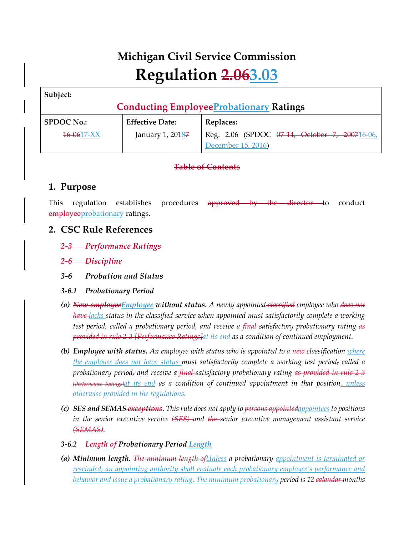# **Michigan Civil Service Commission Regulation 2.063.03**

**Subject:**

# **Conducting EmployeeProbationary Ratings**

| <b>SPDOC No.:</b> | <b>Effective Date:</b> | Replaces:                                     |
|-------------------|------------------------|-----------------------------------------------|
| $16 - 0617 - XX$  | January 1, 20187       | Reg. 2.06 (SPDOC 07-14, October 7, 200716-06, |
|                   |                        | December 15, 2016)                            |

# **Table of Contents**

# **1. Purpose**

This regulation establishes procedures approved by the director to conduct employeeprobationary ratings.

# **2. CSC Rule References**

- *2-3 Performance Ratings*
- *2-6 Discipline*
- *3-6 Probation and Status*
- *3-6.1 Probationary Period*
- *(a) New employeeEmployee without status. A newly appointed classified employee who does not have lacks status in the classified service when appointed must satisfactorily complete a working test period, called a probationary period, and receive a final satisfactory probationary rating as provided in rule 2-3 [Performance Ratings]at its end as a condition of continued employment.*
- *(b) Employee with status. An employee with status who is appointed to a new classification where the employee does not have status must satisfactorily complete a working test period, called a probationary period, and receive a final satisfactory probationary rating as provided in rule 2-3 [Performance Ratings]at its end as a condition of continued appointment in that position, unless otherwise provided in the regulations.*
- *(c) SES and SEMAS-exceptions. This rule does not apply to <del>persons appointedappointees</del> to positions in the senior executive service (SES) and the senior executive management assistant service (SEMAS).*
- *3-6.2 Length of Probationary Period Length*
- *(a) Minimum length. The minimum length ofUnless a probationary appointment is terminated or rescinded, an appointing authority shall evaluate each probationary employee's performance and behavior and issue a probationary rating. The minimum probationary period is 12 calendar months*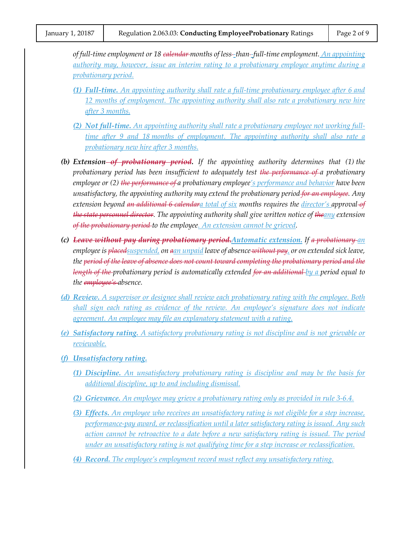*of full-time employment or 18 calendar months of less -than -full-time employment. An appointing authority may, however, issue an interim rating to a probationary employee anytime during a probationary period.*

- *(1) Full-time. An appointing authority shall rate a full-time probationary employee after 6 and 12 months of employment. The appointing authority shall also rate a probationary new hire after 3 months.*
- *(2) Not full-time. An appointing authority shall rate a probationary employee not working fulltime after 9 and 18 months of employment. The appointing authority shall also rate a probationary new hire after 3 months.*
- *(b) Extension of probationary period. If the appointing authority determines that (1) the probationary period has been insufficient to adequately test the performance of a probationary employee or (2) the performance of a probationary employee's performance and behavior have been unsatisfactory, the appointing authority may extend the probationary period for an employee. Any extension beyond an additional 6 calendara total of six months requires the director's approval of the state personnel director. The appointing authority shall give written notice of theany extension of the probationary period to the employee. An extension cannot be grieved.*
- *(c) Leave without pay during probationary period.Automatic extension. If a probationary an employee is placedsuspended, on aan unpaid leave of absence without pay, or on extended sick leave, the period of the leave of absence does not count toward completing the probationary period and the length of the probationary period is automatically extended for an additional by a period equal to the employee's absence.*
- *(d) Review. A supervisor or designee shall review each probationary rating with the employee. Both shall sign each rating as evidence of the review. An employee's signature does not indicate agreement. An employee may file an explanatory statement with a rating.*
- *(e) Satisfactory rating. A satisfactory probationary rating is not discipline and is not grievable or reviewable.*
- *(f) Unsatisfactory rating.*
	- *(1) Discipline. An unsatisfactory probationary rating is discipline and may be the basis for additional discipline, up to and including dismissal.*
	- *(2) Grievance. An employee may grieve a probationary rating only as provided in rule 3-6.4.*
	- *(3) Effects. An employee who receives an unsatisfactory rating is not eligible for a step increase, performance-pay award, or reclassification until a later satisfactory rating is issued. Any such action cannot be retroactive to a date before a new satisfactory rating is issued. The period under an unsatisfactory rating is not qualifying time for a step increase or reclassification.*
	- *(4) Record. The employee's employment record must reflect any unsatisfactory rating.*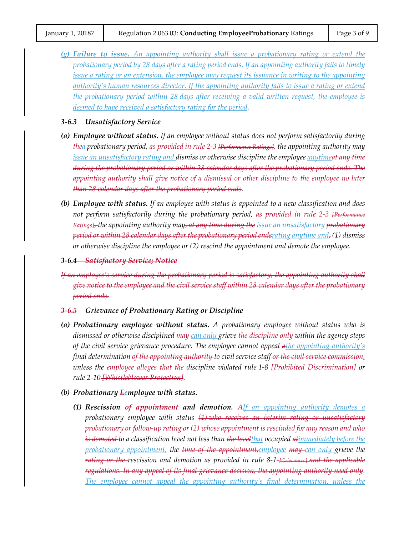*(g) Failure to issue. An appointing authority shall issue a probationary rating or extend the probationary period by 28 days after a rating period ends. If an appointing authority fails to timely issue a rating or an extension, the employee may request its issuance in writing to the appointing authority's human resources director. If the appointing authority fails to issue a rating or extend the probationary period within 28 days after receiving a valid written request, the employee is deemed to have received a satisfactory rating for the period.*

#### *3-6.3 Unsatisfactory Service*

- *(a) Employee without status. If an employee without status does not perform satisfactorily during thea probationary period, as provided in rule 2-3 [Performance Ratings], the appointing authority may issue an unsatisfactory rating and dismiss or otherwise discipline the employee anytimeat any time during the probationary period or within 28 calendar days after the probationary period ends. The appointing authority shall give notice of a dismissal or other discipline to the employee no later than 28 calendar days after the probationary period ends.*
- *(b) Employee with status. If an employee with status is appointed to a new classification and does not perform satisfactorily during the probationary period, as provided in rule 2-3 [Performance Ratings], the appointing authority may, at any time during the issue an unsatisfactory probationary period or within 28 calendar days after the probationary period endsrating anytime and, (1) dismiss or otherwise discipline the employee or (2) rescind the appointment and demote the employee.*
- *3-6.4 Satisfactory Service; Notice*
- *If an employee's service during the probationary period is satisfactory, the appointing authority shall give notice to the employee and the civil service staff within 28 calendar days after the probationary period ends.*

#### *3-6.5 Grievance of Probationary Rating or Discipline*

- *(a) Probationary employee without status. A probationary employee without status who is dismissed or otherwise disciplined may can only grieve the discipline only within the agency steps of the civil service grievance procedure. The employee cannot appeal athe appointing authority's final determination of the appointing authority to civil service staff or the civil service commission, unless the employee alleges that the discipline violated rule 1-8 [Prohibited Discrimination] or rule 2-10 [Whistleblower Protection].*
- *(b) Probationary Eemployee with status.*
	- *(1) Rescission of appointment and demotion. AIf an appointing authority demotes a probationary employee with status (1) who receives an interim rating or unsatisfactory probationary or follow-up rating or (2) whose appointment is rescinded for any reason and who is demoted to a classification level not less than the levelthat occupied atimmediately before the probationary appointment, the time of the appointment,employee may can only grieve the rating or the rescission and demotion as provided in rule 8-1 [Grievances] and the applicable regulations. In any appeal of its final grievance decision, the appointing authority need only. The employee cannot appeal the appointing authority's final determination, unless the*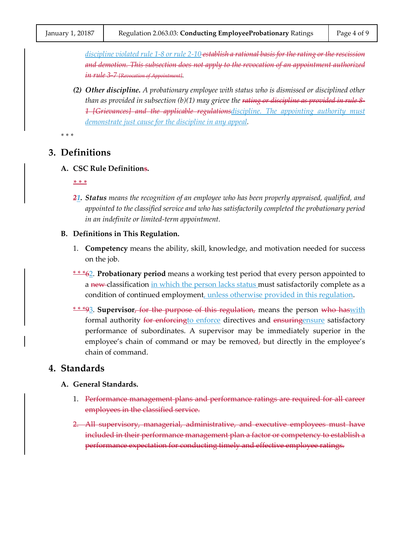*discipline violated rule 1-8 or rule 2-10 establish a rational basis for the rating or the rescission and demotion. This subsection does not apply to the revocation of an appointment authorized in rule 3-7 [Revocation of Appointment].*

*(2) Other discipline. A probationary employee with status who is dismissed or disciplined other than as provided in subsection (b)(1) may grieve the rating or discipline as provided in rule 8- 1 [Grievances] and the applicable regulationsdiscipline. The appointing authority must demonstrate just cause for the discipline in any appeal.*

*\* \* \**

## **3. Definitions**

**A. CSC Rule Definitions.**

*\* \* \**

*21. Status means the recognition of an employee who has been properly appraised, qualified, and appointed to the classified service and who has satisfactorily completed the probationary period in an indefinite or limited-term appointment.*

#### **B. Definitions in This Regulation.**

- 1. **Competency** means the ability, skill, knowledge, and motivation needed for success on the job.
- \* \* \*62. **Probationary period** means a working test period that every person appointed to a new classification in which the person lacks status must satisfactorily complete as a condition of continued employment, unless otherwise provided in this regulation.
- \* \* \*93. **Supervisor**, for the purpose of this regulation, means the person who haswith formal authority for enforcing to enforce directives and ensuring ensure satisfactory performance of subordinates. A supervisor may be immediately superior in the employee's chain of command or may be removed<sub>7</sub> but directly in the employee's chain of command.

## **4. Standards**

#### **A. General Standards.**

- 1. Performance management plans and performance ratings are required for all career employees in the classified service.
- 2. All supervisory, managerial, administrative, and executive employees must have included in their performance management plan a factor or competency to establish a performance expectation for conducting timely and effective employee ratings.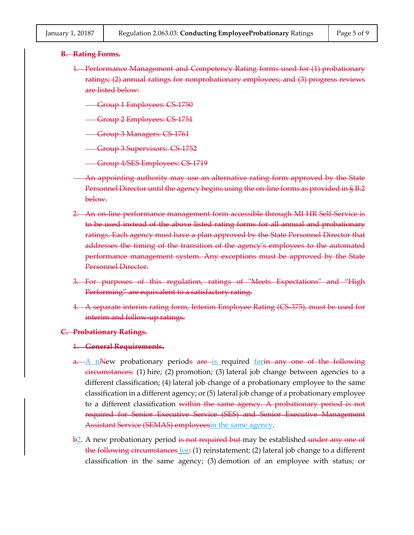#### **B. Rating Forms.**

- 1. Performance Management and Competency Rating forms used for (1) probationary ratings; (2) annual ratings for nonprobationary employees; and (3) progress reviews are listed below:
	- Group 1 Employees: CS 1750
	- Group 2 Employees: CS-1751
	- Group 3 Managers: CS 1761
	- Group 3 Supervisors: CS-1752
	- Group 4/SES Employees: CS 1719
	- An appointing authority may use an alternative rating form approved by the State Personnel Director until the agency begins using the on-line forms as provided in § B.2 below.
- 2. An on-line performance management form accessible through MI HR Self-Service is to be used instead of the above listed rating forms for all annual and probationary ratings. Each agency must have a plan approved by the State Personnel Director that addresses the timing of the transition of the agency's employees to the automated performance management system. Any exceptions must be approved by the State Personnel Director.
- 3. For purposes of this regulation, ratings of "Meets Expectations" and "High Performing" are equivalent to a satisfactory rating.
- 4. A separate interim rating form, Interim Employee Rating (CS-375), must be used for interim and follow up ratings.

#### **C. Probationary Ratings.**

#### 1. **General Requirements.**

- a. A nNew probationary periods are is required for the only one of the following  $e$ ircumstances: (1) hire; (2) promotion; (3) lateral job change between agencies to a different classification; (4) lateral job change of a probationary employee to the same classification in a different agency; or (5) lateral job change of a probationary employee to a different classification <del>within the same agency. A probationary period is not</del> required for Senior Executive Service (SES) and Senior Executive Management Assistant Service (SEMAS) employeesin the same agency.
- $\frac{b}{2}$ . A new probationary period is not required but may be established under any one of the following circumstances for:  $(1)$  reinstatement;  $(2)$  lateral job change to a different classification in the same agency; (3) demotion of an employee with status; or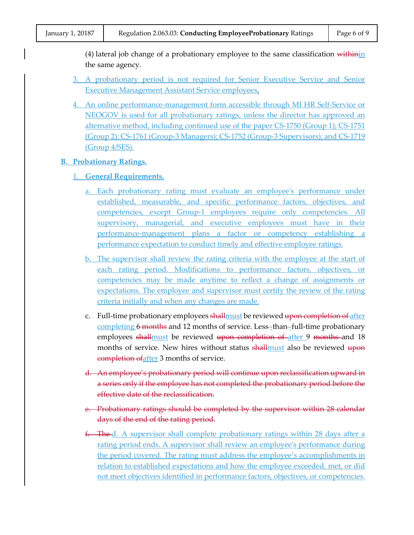(4) lateral job change of a probationary employee to the same classification  $\frac{1}{1+\frac{1}{1+\frac{1}{1+\frac{1}{1+\frac{1}{1+\frac{1}{1+\frac{1}{1+\frac{1}{1+\frac{1}{1+\frac{1}{1+\frac{1}{1+\frac{1}{1+\frac{1}{1+\frac{1}{1+\frac{1}{1+\frac{1}{1+\frac{1}{1+\frac{1}{1+\frac{1}{1+\frac{1}{1+\frac{1}{1+\frac{1}{1+\frac{1}{1+\frac{1}{$ the same agency.

- 3. A probationary period is not required for Senior Executive Service and Senior Executive Management Assistant Service employees.
- 4. An online performance-management form accessible through MI HR Self-Service or NEOGOV is used for all probationary ratings, unless the director has approved an alternative method, including continued use of the paper CS-1750 (Group 1); CS-1751 (Group 2); CS-1761 (Group-3 Managers); CS-1752 (Group-3 Supervisors); and CS-1719 (Group 4/SES).

#### **B. Probationary Ratings.**

- 1. **General Requirements.**
	- a. Each probationary rating must evaluate an employee's performance under established, measurable, and specific performance factors, objectives, and competencies, except Group-1 employees require only competencies. All supervisory, managerial, and executive employees must have in their performance-management plans a factor or competency establishing a performance expectation to conduct timely and effective employee ratings.
	- b. The supervisor shall review the rating criteria with the employee at the start of each rating period. Modifications to performance factors, objectives, or competencies may be made anytime to reflect a change of assignments or expectations. The employee and supervisor must certify the review of the rating criteria initially and when any changes are made.
	- c. Full-time probationary employees shall must be reviewed upon completion of after completing 6 months and 12 months of service. Less-than-full-time probationary employees shallmust be reviewed upon completion of after 9 months and 18 months of service. New hires without status shall must also be reviewed upon completion ofafter 3 months of service.
	- d. An employee's probationary period will continue upon reclassification upward in a series only if the employee has not completed the probationary period before the effective date of the reclassification.
	- e. Probationary ratings should be completed by the supervisor within 28 calendar days of the end of the rating period.
	- f. The d. A supervisor shall complete probationary ratings within 28 days after a rating period ends. A supervisor shall review an employee's performance during the period covered. The rating must address the employee's accomplishments in relation to established expectations and how the employee exceeded, met, or did not meet objectives identified in performance factors, objectives, or competencies.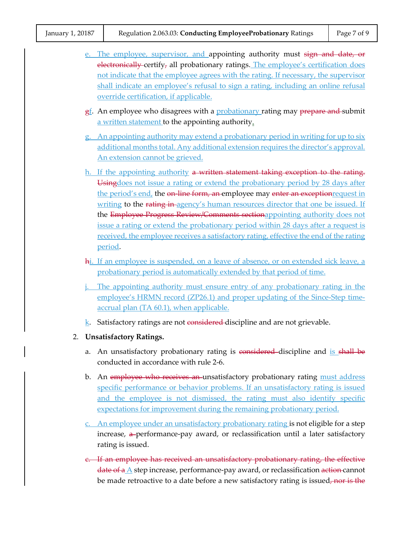|  | e. The employee, supervisor, and appointing authority must sign and date, or                                                 |  |  |
|--|------------------------------------------------------------------------------------------------------------------------------|--|--|
|  | electronically-certify, all probationary ratings. The employee's certification does                                          |  |  |
|  | not indicate that the employee agrees with the rating. If necessary, the supervisor                                          |  |  |
|  | shall indicate an employee's refusal to sign a rating, including an online refusal<br>override certification, if applicable. |  |  |
|  |                                                                                                                              |  |  |
|  | $g_{\perp}$ . An employee who disagrees with a <i>probationary</i> rating may <i>prepare and</i> submit                      |  |  |
|  | a written statement to the appointing authority.                                                                             |  |  |
|  | g. An appointing authority may extend a probationary period in writing for up to six                                         |  |  |
|  | additional months total. Any additional extension requires the director's approval.                                          |  |  |
|  | An extension cannot be grieved.                                                                                              |  |  |
|  | h. If the appointing authority a written statement taking exception to the rating.                                           |  |  |
|  | Usingdoes not issue a rating or extend the probationary period by 28 days after                                              |  |  |
|  | the period's end, the on-line form, an employee may enter an exception request in                                            |  |  |
|  | writing to the rating in-agency's human resources director that one be issued. If                                            |  |  |
|  | the Employee Progress Review/Comments sectionappointing authority does not                                                   |  |  |
|  | issue a rating or extend the probationary period within 28 days after a request is                                           |  |  |
|  | received, the employee receives a satisfactory rating, effective the end of the rating                                       |  |  |
|  | period.                                                                                                                      |  |  |
|  | hi. If an employee is suspended, on a leave of absence, or on extended sick leave, a                                         |  |  |
|  | probationary period is automatically extended by that period of time.                                                        |  |  |
|  | <i>j.</i> The appointing authority must ensure entry of any probationary rating in the                                       |  |  |
|  | employee's HRMN record (ZP26.1) and proper updating of the Since-Step time-                                                  |  |  |
|  | accrual plan (TA 60.1), when applicable.                                                                                     |  |  |
|  | $k$ . Satisfactory ratings are not considered discipline and are not grievable.                                              |  |  |
|  | 2. Unsatisfactory Ratings.                                                                                                   |  |  |
|  |                                                                                                                              |  |  |
|  | a. An unsatisfactory probationary rating is considered discipline and is shall be<br>conducted in accordance with rule 2-6.  |  |  |
|  |                                                                                                                              |  |  |
|  | b. An employee who receives an unsatisfactory probationary rating must address                                               |  |  |
|  | specific performance or behavior problems. If an unsatisfactory rating is issued                                             |  |  |
|  | and the employee is not dismissed, the rating must also identify specific                                                    |  |  |
|  | expectations for improvement during the remaining probationary period.                                                       |  |  |
|  | c. An employee under an unsatisfactory probationary rating is not eligible for a step                                        |  |  |
|  | increase, a performance-pay award, or reclassification until a later satisfactory                                            |  |  |
|  | rating is issued.                                                                                                            |  |  |
|  |                                                                                                                              |  |  |

c. If an employee has received an unsatisfactory probationary rating, the effective date of a A step increase, performance-pay award, or reclassification action cannot be made retroactive to a date before a new satisfactory rating is issued, nor is the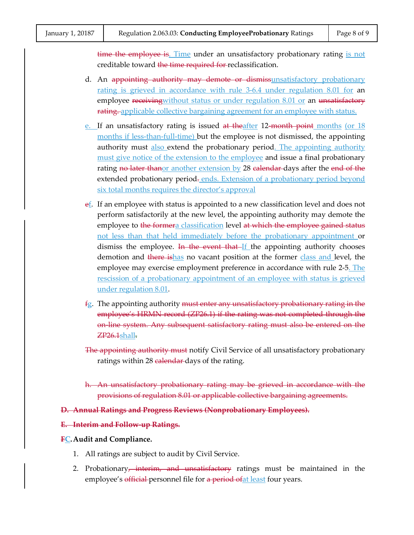time the employee is. Time under an unsatisfactory probationary rating is not creditable toward the time required for reclassification.

- d. An appointing authority may demote or dismissunsatisfactory probationary rating is grieved in accordance with rule 3-6.4 under regulation 8.01 for an employee receiving without status or under regulation 8.01 or an unsatisfactory rating. applicable collective bargaining agreement for an employee with status.
- e. If an unsatisfactory rating is issued at theafter 12-month point months (or 18 months if less-than-full-time) but the employee is not dismissed, the appointing authority must also extend the probationary period. The appointing authority must give notice of the extension to the employee and issue a final probationary rating no later thanor another extension by 28 calendar days after the end of the extended probationary period-ends. Extension of a probationary period beyond six total months requires the director's approval
- ef. If an employee with status is appointed to a new classification level and does not perform satisfactorily at the new level, the appointing authority may demote the employee to the formera classification level at which the employee gained status not less than that held immediately before the probationary appointment or dismiss the employee. <del>In the event that If</del> the appointing authority chooses demotion and there ishas no vacant position at the former class and level, the employee may exercise employment preference in accordance with rule 2-5. The rescission of a probationary appointment of an employee with status is grieved under regulation 8.01.
- $fg.$  The appointing authority <del>must enter any unsatisfactory probationary rating in the</del> employee's HRMN record (ZP26.1) if the rating was not completed through the on-line system. Any subsequent satisfactory rating must also be entered on the  $ZP26.1$ shall.
- The appointing authority must notify Civil Service of all unsatisfactory probationary ratings within 28 calendar days of the rating.
- h. An unsatisfactory probationary rating may be grieved in accordance with the provisions of regulation 8.01 or applicable collective bargaining agreements.
- **D. Annual Ratings and Progress Reviews (Nonprobationary Employees).**

#### **E. Interim and Follow-up Ratings.**

#### **FC.Audit and Compliance.**

- 1. All ratings are subject to audit by Civil Service.
- 2. Probationary<del>, interim, and unsatisfactory</del> ratings must be maintained in the employee's official personnel file for a period of at least four years.